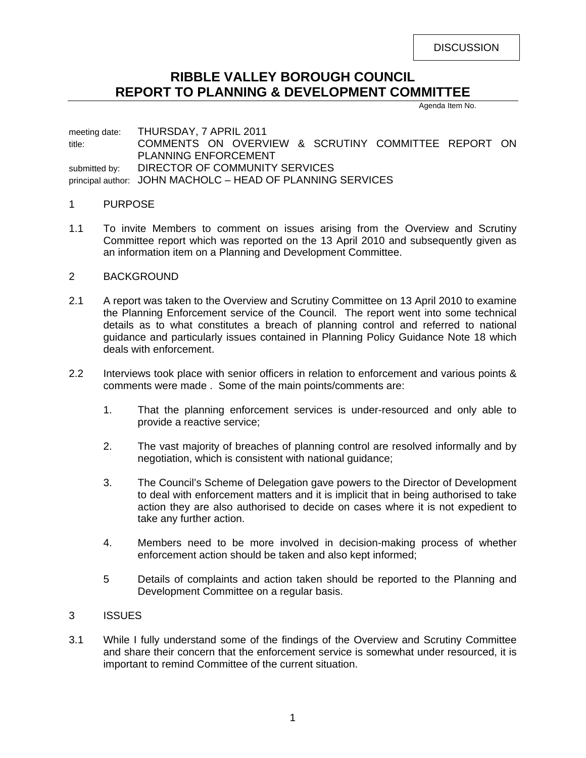**DISCUSSION** 

# **RIBBLE VALLEY BOROUGH COUNCIL REPORT TO PLANNING & DEVELOPMENT COMMITTEE**

Agenda Item No.

meeting date: THURSDAY, 7 APRIL 2011 title: COMMENTS ON OVERVIEW & SCRUTINY COMMITTEE REPORT ON PLANNING ENFORCEMENT submitted by: DIRECTOR OF COMMUNITY SERVICES principal author: JOHN MACHOLC – HEAD OF PLANNING SERVICES

#### 1 PURPOSE

1.1 To invite Members to comment on issues arising from the Overview and Scrutiny Committee report which was reported on the 13 April 2010 and subsequently given as an information item on a Planning and Development Committee.

#### 2 BACKGROUND

- 2.1 A report was taken to the Overview and Scrutiny Committee on 13 April 2010 to examine the Planning Enforcement service of the Council. The report went into some technical details as to what constitutes a breach of planning control and referred to national guidance and particularly issues contained in Planning Policy Guidance Note 18 which deals with enforcement.
- 2.2 Interviews took place with senior officers in relation to enforcement and various points & comments were made . Some of the main points/comments are:
	- 1. That the planning enforcement services is under-resourced and only able to provide a reactive service;
	- 2. The vast majority of breaches of planning control are resolved informally and by negotiation, which is consistent with national guidance;
	- 3. The Council's Scheme of Delegation gave powers to the Director of Development to deal with enforcement matters and it is implicit that in being authorised to take action they are also authorised to decide on cases where it is not expedient to take any further action.
	- 4. Members need to be more involved in decision-making process of whether enforcement action should be taken and also kept informed;
	- 5 Details of complaints and action taken should be reported to the Planning and Development Committee on a regular basis.
- 3 ISSUES
- 3.1 While I fully understand some of the findings of the Overview and Scrutiny Committee and share their concern that the enforcement service is somewhat under resourced, it is important to remind Committee of the current situation.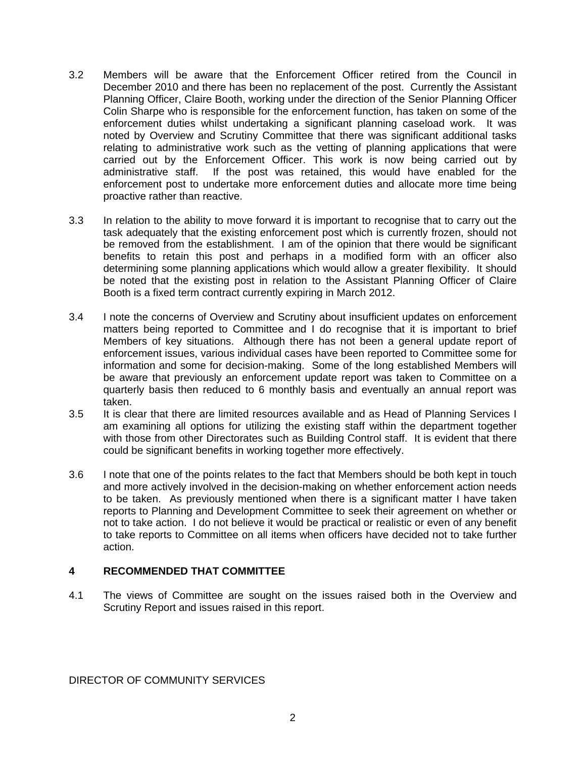- 3.2 Members will be aware that the Enforcement Officer retired from the Council in December 2010 and there has been no replacement of the post. Currently the Assistant Planning Officer, Claire Booth, working under the direction of the Senior Planning Officer Colin Sharpe who is responsible for the enforcement function, has taken on some of the enforcement duties whilst undertaking a significant planning caseload work. It was noted by Overview and Scrutiny Committee that there was significant additional tasks relating to administrative work such as the vetting of planning applications that were carried out by the Enforcement Officer. This work is now being carried out by administrative staff. If the post was retained, this would have enabled for the enforcement post to undertake more enforcement duties and allocate more time being proactive rather than reactive.
- 3.3 In relation to the ability to move forward it is important to recognise that to carry out the task adequately that the existing enforcement post which is currently frozen, should not be removed from the establishment. I am of the opinion that there would be significant benefits to retain this post and perhaps in a modified form with an officer also determining some planning applications which would allow a greater flexibility. It should be noted that the existing post in relation to the Assistant Planning Officer of Claire Booth is a fixed term contract currently expiring in March 2012.
- 3.4 I note the concerns of Overview and Scrutiny about insufficient updates on enforcement matters being reported to Committee and I do recognise that it is important to brief Members of key situations. Although there has not been a general update report of enforcement issues, various individual cases have been reported to Committee some for information and some for decision-making. Some of the long established Members will be aware that previously an enforcement update report was taken to Committee on a quarterly basis then reduced to 6 monthly basis and eventually an annual report was taken.
- 3.5 It is clear that there are limited resources available and as Head of Planning Services I am examining all options for utilizing the existing staff within the department together with those from other Directorates such as Building Control staff. It is evident that there could be significant benefits in working together more effectively.
- 3.6 I note that one of the points relates to the fact that Members should be both kept in touch and more actively involved in the decision-making on whether enforcement action needs to be taken. As previously mentioned when there is a significant matter I have taken reports to Planning and Development Committee to seek their agreement on whether or not to take action. I do not believe it would be practical or realistic or even of any benefit to take reports to Committee on all items when officers have decided not to take further action.

### **4 RECOMMENDED THAT COMMITTEE**

4.1 The views of Committee are sought on the issues raised both in the Overview and Scrutiny Report and issues raised in this report.

DIRECTOR OF COMMUNITY SERVICES